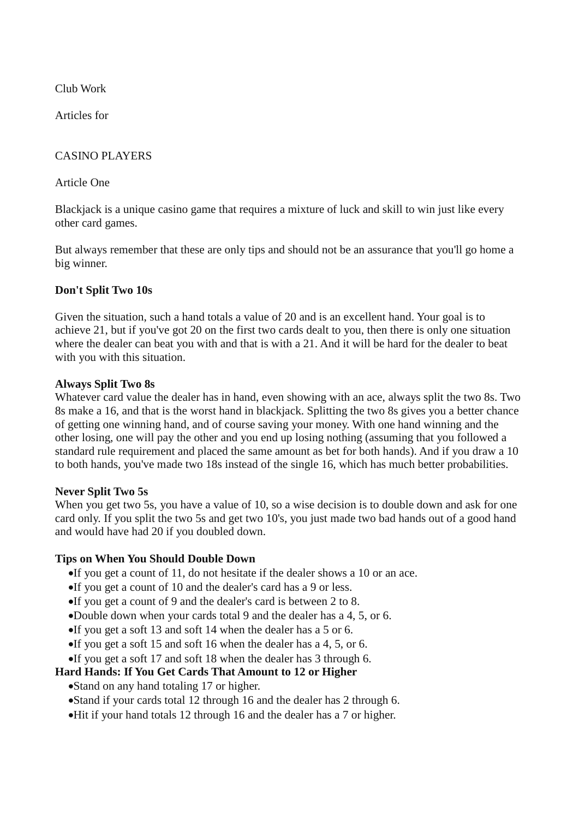Club Work

Articles for

## CASINO PLAYERS

#### Article One

Blackjack is a unique casino game that requires a mixture of luck and skill to win just like every other card games.

But always remember that these are only tips and should not be an assurance that you'll go home a big winner.

## **Don't Split Two 10s**

Given the situation, such a hand totals a value of 20 and is an excellent hand. Your goal is to achieve 21, but if you've got 20 on the first two cards dealt to you, then there is only one situation where the dealer can beat you with and that is with a 21. And it will be hard for the dealer to beat with you with this situation.

#### **Always Split Two 8s**

Whatever card value the dealer has in hand, even showing with an ace, always split the two 8s. Two 8s make a 16, and that is the worst hand in blackjack. Splitting the two 8s gives you a better chance of getting one winning hand, and of course saving your money. With one hand winning and the other losing, one will pay the other and you end up losing nothing (assuming that you followed a standard rule requirement and placed the same amount as bet for both hands). And if you draw a 10 to both hands, you've made two 18s instead of the single 16, which has much better probabilities.

#### **Never Split Two 5s**

When you get two 5s, you have a value of 10, so a wise decision is to [double down](http://www.blackjackbee.com/strategy/double.php) and ask for one card only. If you split the two 5s and get two 10's, you just made two bad hands out of a good hand and would have had 20 if you doubled down.

## **Tips on When You Should [Double Down](http://www.blackjackbee.com/strategy/double.php)**

If you get a count of 11, do not hesitate if the dealer shows a 10 or an ace.

- If you get a count of 10 and the dealer's card has a 9 or less.
- If you get a count of 9 and the dealer's card is between 2 to 8.
- [Double](http://www.blackjackbee.com/strategy/double.php) down when your cards total 9 and the dealer has a 4, 5, or 6.
- If you get a soft 13 and soft 14 when the dealer has a 5 or 6.
- If you get a soft 15 and soft 16 when the dealer has a 4, 5, or 6.
- If you get a soft 17 and soft 18 when the dealer has 3 through 6.

## **Hard Hands: If You Get Cards That Amount to 12 or Higher**

• Stand on any hand totaling 17 or higher.

- Stand if your cards total 12 through 16 and the dealer has 2 through 6.
- Hit if your hand totals 12 through 16 and the dealer has a 7 or higher.